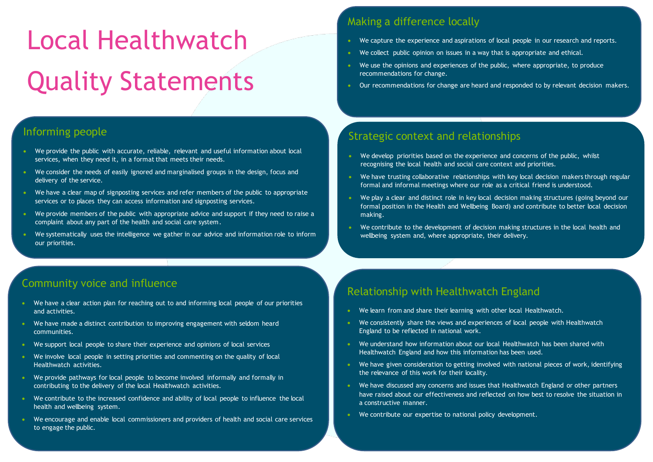# Local Healthwatch Quality Statements

### Strategic context and relationships

- We develop priorities based on the experience and concerns of the public, whilst recognising the local health and social care context and priorities.
- We have trusting collaborative relationships with key local decision makers through regular formal and informal meetings where our role as a critical friend is understood.
- We play a clear and distinct role in key local decision making structures (going beyond our formal position in the Health and Wellbeing Board) and contribute to better local decision making.
- We contribute to the development of decision making structures in the local health and wellbeing system and, where appropriate, their delivery.

# Making a difference locally

- We capture the experience and aspirations of local people in our research and reports.
- We collect public opinion on issues in a way that is appropriate and ethical.
- We use the opinions and experiences of the public, where appropriate, to produce recommendations for change.
- **Our recommendations for change are heard and responded to by relevant decision makers.**

- We provide the public with accurate, reliable, relevant and useful information about local services, when they need it, in a format that meets their needs.
- We consider the needs of easily ignored and marginalised groups in the design, focus and delivery of the service.
- We have a clear map of signposting services and refer members of the public to appropriate services or to places they can access information and signposting services.
- We provide members of the public with appropriate advice and support if they need to raise a complaint about any part of the health and social care system.
- We systematically uses the intelligence we gather in our advice and information role to inform our priorities.

# Informing people

 $\overline{\phantom{a}}$ 

- We have a clear action plan for reaching out to and informing local people of our priorities and activities.
- We have made a distinct contribution to improving engagement with seldom heard communities.
- We support local people to share their experience and opinions of local services
- We involve local people in setting priorities and commenting on the quality of local Healthwatch activities.
- We provide pathways for local people to become involved informally and formally in contributing to the delivery of the local Healthwatch activities.
- We contribute to the increased confidence and ability of local people to influence the local health and wellbeing system.
- We encourage and enable local commissioners and providers of health and social care services to engage the public. to engage the public.

# Community voice and influence

# Relationship with Healthwatch England

- We learn from and share their learning with other local Healthwatch.
- We consistently share the views and experiences of local people with Healthwatch England to be reflected in national work.
- We understand how information about our local Healthwatch has been shared with Healthwatch England and how this information has been used.
- We have given consideration to getting involved with national pieces of work, identifying the relevance of this work for their locality.
- We have discussed any concerns and issues that Healthwatch England or other partners have raised about our effectiveness and reflected on how best to resolve the situation in a constructive manner.
- We contribute our expertise to national policy development.